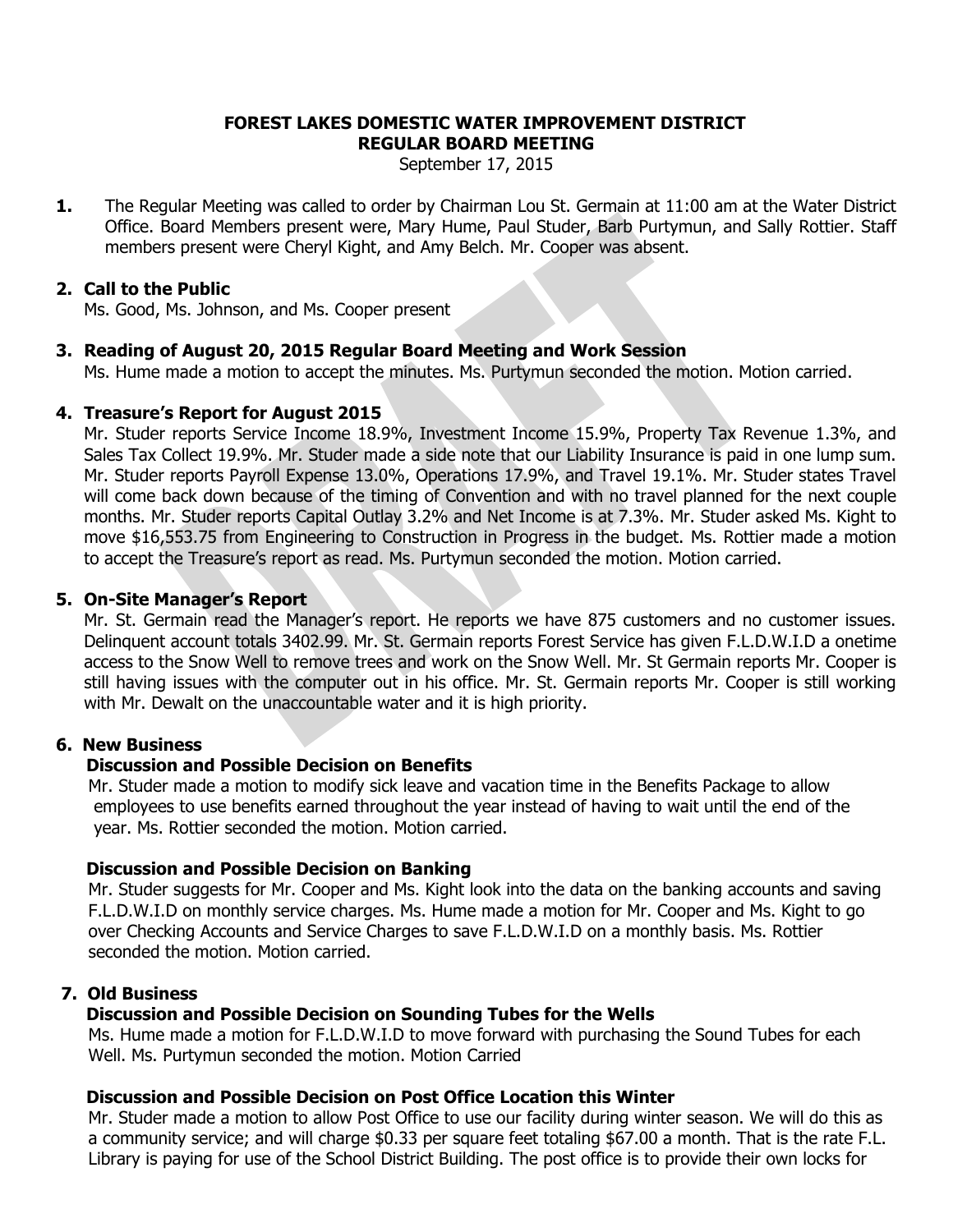#### **FOREST LAKES DOMESTIC WATER IMPROVEMENT DISTRICT REGULAR BOARD MEETING**

September 17, 2015

**1.** The Regular Meeting was called to order by Chairman Lou St. Germain at 11:00 am at the Water District Office. Board Members present were, Mary Hume, Paul Studer, Barb Purtymun, and Sally Rottier. Staff members present were Cheryl Kight, and Amy Belch. Mr. Cooper was absent.

### **2. Call to the Public**

Ms. Good, Ms. Johnson, and Ms. Cooper present

## **3. Reading of August 20, 2015 Regular Board Meeting and Work Session**

Ms. Hume made a motion to accept the minutes. Ms. Purtymun seconded the motion. Motion carried.

#### **4. Treasure's Report for August 2015**

Mr. Studer reports Service Income 18.9%, Investment Income 15.9%, Property Tax Revenue 1.3%, and Sales Tax Collect 19.9%. Mr. Studer made a side note that our Liability Insurance is paid in one lump sum. Mr. Studer reports Payroll Expense 13.0%, Operations 17.9%, and Travel 19.1%. Mr. Studer states Travel will come back down because of the timing of Convention and with no travel planned for the next couple months. Mr. Studer reports Capital Outlay 3.2% and Net Income is at 7.3%. Mr. Studer asked Ms. Kight to move \$16,553.75 from Engineering to Construction in Progress in the budget. Ms. Rottier made a motion to accept the Treasure's report as read. Ms. Purtymun seconded the motion. Motion carried.

#### **5. On-Site Manager's Report**

Mr. St. Germain read the Manager's report. He reports we have 875 customers and no customer issues. Delinquent account totals 3402.99. Mr. St. Germain reports Forest Service has given F.L.D.W.I.D a onetime access to the Snow Well to remove trees and work on the Snow Well. Mr. St Germain reports Mr. Cooper is still having issues with the computer out in his office. Mr. St. Germain reports Mr. Cooper is still working with Mr. Dewalt on the unaccountable water and it is high priority.

### **6. New Business**

#### **Discussion and Possible Decision on Benefits**

 Mr. Studer made a motion to modify sick leave and vacation time in the Benefits Package to allow employees to use benefits earned throughout the year instead of having to wait until the end of the year. Ms. Rottier seconded the motion. Motion carried.

#### **Discussion and Possible Decision on Banking**

 Mr. Studer suggests for Mr. Cooper and Ms. Kight look into the data on the banking accounts and saving F.L.D.W.I.D on monthly service charges. Ms. Hume made a motion for Mr. Cooper and Ms. Kight to go over Checking Accounts and Service Charges to save F.L.D.W.I.D on a monthly basis. Ms. Rottier seconded the motion. Motion carried.

#### **7. Old Business**

#### **Discussion and Possible Decision on Sounding Tubes for the Wells**

 Ms. Hume made a motion for F.L.D.W.I.D to move forward with purchasing the Sound Tubes for each Well. Ms. Purtymun seconded the motion. Motion Carried

#### **Discussion and Possible Decision on Post Office Location this Winter**

 Mr. Studer made a motion to allow Post Office to use our facility during winter season. We will do this as a community service; and will charge \$0.33 per square feet totaling \$67.00 a month. That is the rate F.L. Library is paying for use of the School District Building. The post office is to provide their own locks for